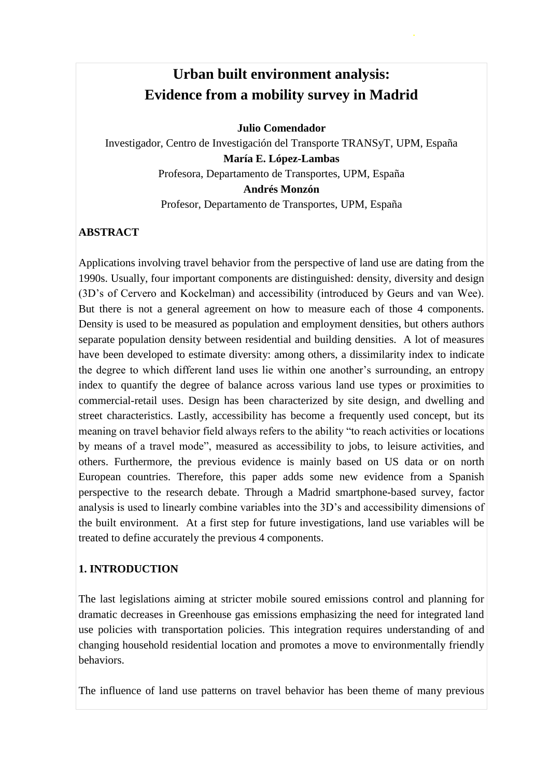# **Urban built environment analysis: Evidence from a mobility survey in Madrid**

**Julio Comendador**

Investigador, Centro de Investigación del Transporte TRANSyT, UPM, España **María E. López-Lambas**  Profesora, Departamento de Transportes, UPM, España **Andrés Monzón**

Profesor, Departamento de Transportes, UPM, España

#### **ABSTRACT**

Applications involving travel behavior from the perspective of land use are dating from the 1990s. Usually, four important components are distinguished: density, diversity and design (3D's of Cervero and Kockelman) and accessibility (introduced by Geurs and van Wee). But there is not a general agreement on how to measure each of those 4 components. Density is used to be measured as population and employment densities, but others authors separate population density between residential and building densities. A lot of measures have been developed to estimate diversity: among others, a dissimilarity index to indicate the degree to which different land uses lie within one another's surrounding, an entropy index to quantify the degree of balance across various land use types or proximities to commercial-retail uses. Design has been characterized by site design, and dwelling and street characteristics. Lastly, accessibility has become a frequently used concept, but its meaning on travel behavior field always refers to the ability "to reach activities or locations by means of a travel mode", measured as accessibility to jobs, to leisure activities, and others. Furthermore, the previous evidence is mainly based on US data or on north European countries. Therefore, this paper adds some new evidence from a Spanish perspective to the research debate. Through a Madrid smartphone-based survey, factor analysis is used to linearly combine variables into the 3D's and accessibility dimensions of the built environment. At a first step for future investigations, land use variables will be treated to define accurately the previous 4 components.

## **1. INTRODUCTION**

The last legislations aiming at stricter mobile soured emissions control and planning for dramatic decreases in Greenhouse gas emissions emphasizing the need for integrated land use policies with transportation policies. This integration requires understanding of and changing household residential location and promotes a move to environmentally friendly behaviors.

The influence of land use patterns on travel behavior has been theme of many previous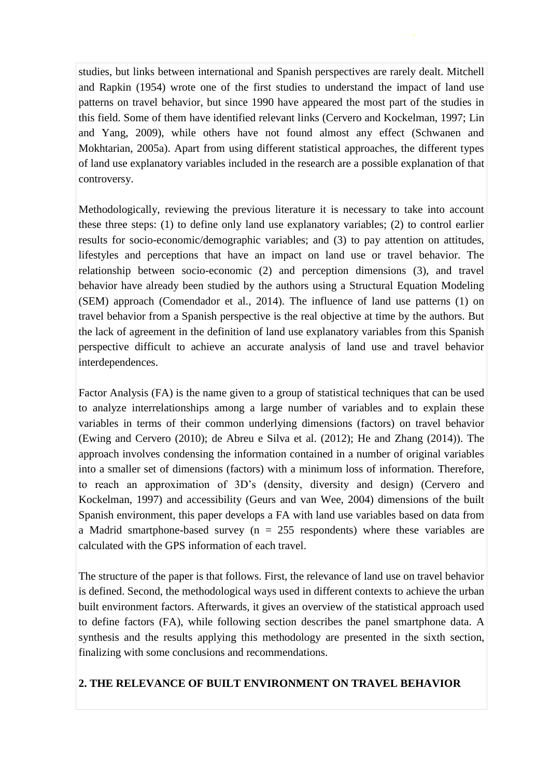studies, but links between international and Spanish perspectives are rarely dealt. Mitchell and Rapkin (1954) wrote one of the first studies to understand the impact of land use patterns on travel behavior, but since 1990 have appeared the most part of the studies in this field. Some of them have identified relevant links (Cervero and Kockelman, 1997; Lin and Yang, 2009), while others have not found almost any effect (Schwanen and Mokhtarian, 2005a). Apart from using different statistical approaches, the different types of land use explanatory variables included in the research are a possible explanation of that controversy.

Methodologically, reviewing the previous literature it is necessary to take into account these three steps: (1) to define only land use explanatory variables; (2) to control earlier results for socio-economic/demographic variables; and (3) to pay attention on attitudes, lifestyles and perceptions that have an impact on land use or travel behavior. The relationship between socio-economic (2) and perception dimensions (3), and travel behavior have already been studied by the authors using a Structural Equation Modeling (SEM) approach (Comendador et al., 2014). The influence of land use patterns (1) on travel behavior from a Spanish perspective is the real objective at time by the authors. But the lack of agreement in the definition of land use explanatory variables from this Spanish perspective difficult to achieve an accurate analysis of land use and travel behavior interdependences.

Factor Analysis (FA) is the name given to a group of statistical techniques that can be used to analyze interrelationships among a large number of variables and to explain these variables in terms of their common underlying dimensions (factors) on travel behavior (Ewing and Cervero (2010); de Abreu e Silva et al. (2012); He and Zhang (2014)). The approach involves condensing the information contained in a number of original variables into a smaller set of dimensions (factors) with a minimum loss of information. Therefore, to reach an approximation of 3D's (density, diversity and design) (Cervero and Kockelman, 1997) and accessibility (Geurs and van Wee, 2004) dimensions of the built Spanish environment, this paper develops a FA with land use variables based on data from a Madrid smartphone-based survey ( $n = 255$  respondents) where these variables are calculated with the GPS information of each travel.

The structure of the paper is that follows. First, the relevance of land use on travel behavior is defined. Second, the methodological ways used in different contexts to achieve the urban built environment factors. Afterwards, it gives an overview of the statistical approach used to define factors (FA), while following section describes the panel smartphone data. A synthesis and the results applying this methodology are presented in the sixth section, finalizing with some conclusions and recommendations.

#### **2. THE RELEVANCE OF BUILT ENVIRONMENT ON TRAVEL BEHAVIOR**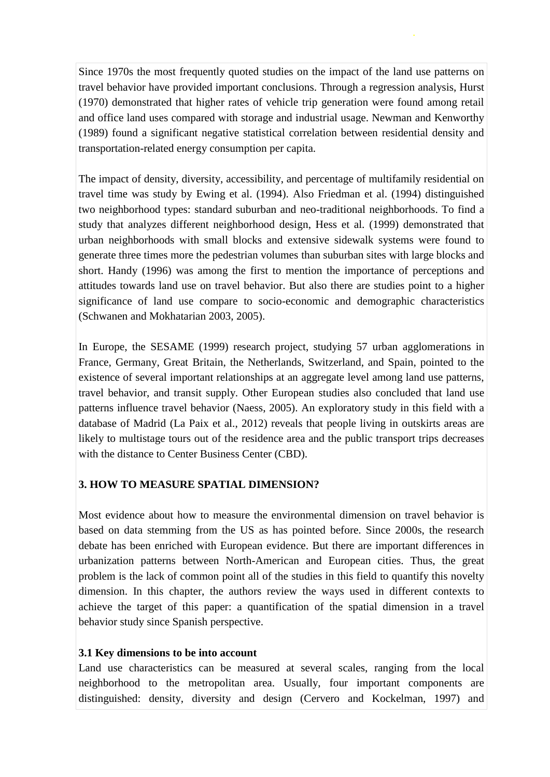Since 1970s the most frequently quoted studies on the impact of the land use patterns on travel behavior have provided important conclusions. Through a regression analysis, Hurst (1970) demonstrated that higher rates of vehicle trip generation were found among retail and office land uses compared with storage and industrial usage. Newman and Kenworthy (1989) found a significant negative statistical correlation between residential density and transportation-related energy consumption per capita.

The impact of density, diversity, accessibility, and percentage of multifamily residential on travel time was study by Ewing et al. (1994). Also Friedman et al. (1994) distinguished two neighborhood types: standard suburban and neo-traditional neighborhoods. To find a study that analyzes different neighborhood design, Hess et al. (1999) demonstrated that urban neighborhoods with small blocks and extensive sidewalk systems were found to generate three times more the pedestrian volumes than suburban sites with large blocks and short. Handy (1996) was among the first to mention the importance of perceptions and attitudes towards land use on travel behavior. But also there are studies point to a higher significance of land use compare to socio-economic and demographic characteristics (Schwanen and Mokhatarian 2003, 2005).

In Europe, the SESAME (1999) research project, studying 57 urban agglomerations in France, Germany, Great Britain, the Netherlands, Switzerland, and Spain, pointed to the existence of several important relationships at an aggregate level among land use patterns, travel behavior, and transit supply. Other European studies also concluded that land use patterns influence travel behavior (Naess, 2005). An exploratory study in this field with a database of Madrid (La Paix et al., 2012) reveals that people living in outskirts areas are likely to multistage tours out of the residence area and the public transport trips decreases with the distance to Center Business Center (CBD).

## **3. HOW TO MEASURE SPATIAL DIMENSION?**

Most evidence about how to measure the environmental dimension on travel behavior is based on data stemming from the US as has pointed before. Since 2000s, the research debate has been enriched with European evidence. But there are important differences in urbanization patterns between North-American and European cities. Thus, the great problem is the lack of common point all of the studies in this field to quantify this novelty dimension. In this chapter, the authors review the ways used in different contexts to achieve the target of this paper: a quantification of the spatial dimension in a travel behavior study since Spanish perspective.

## **3.1 Key dimensions to be into account**

Land use characteristics can be measured at several scales, ranging from the local neighborhood to the metropolitan area. Usually, four important components are distinguished: density, diversity and design (Cervero and Kockelman, 1997) and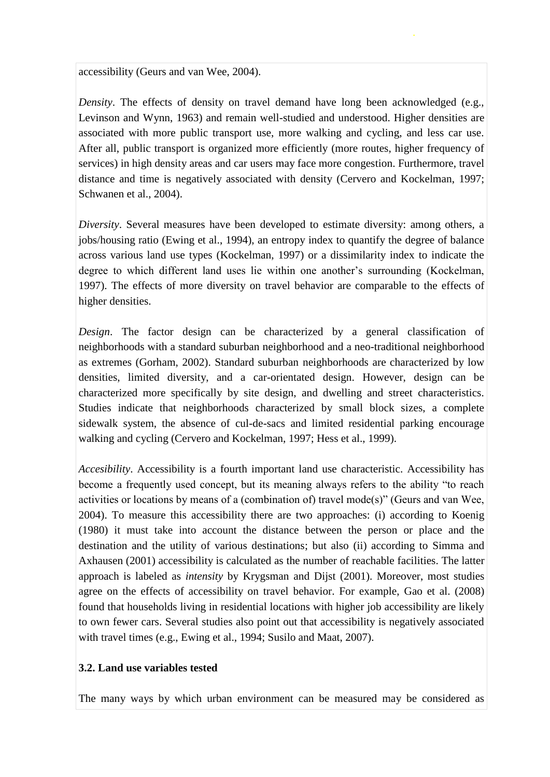accessibility (Geurs and van Wee, 2004).

*Density*. The effects of density on travel demand have long been acknowledged (e.g., Levinson and Wynn, 1963) and remain well-studied and understood. Higher densities are associated with more public transport use, more walking and cycling, and less car use. After all, public transport is organized more efficiently (more routes, higher frequency of services) in high density areas and car users may face more congestion. Furthermore, travel distance and time is negatively associated with density (Cervero and Kockelman, 1997; Schwanen et al., 2004).

*Diversity*. Several measures have been developed to estimate diversity: among others, a jobs/housing ratio (Ewing et al., 1994), an entropy index to quantify the degree of balance across various land use types (Kockelman, 1997) or a dissimilarity index to indicate the degree to which different land uses lie within one another's surrounding (Kockelman, 1997). The effects of more diversity on travel behavior are comparable to the effects of higher densities.

*Design*. The factor design can be characterized by a general classification of neighborhoods with a standard suburban neighborhood and a neo-traditional neighborhood as extremes (Gorham, 2002). Standard suburban neighborhoods are characterized by low densities, limited diversity, and a car-orientated design. However, design can be characterized more specifically by site design, and dwelling and street characteristics. Studies indicate that neighborhoods characterized by small block sizes, a complete sidewalk system, the absence of cul-de-sacs and limited residential parking encourage walking and cycling (Cervero and Kockelman, 1997; Hess et al., 1999).

*Accesibility*. Accessibility is a fourth important land use characteristic. Accessibility has become a frequently used concept, but its meaning always refers to the ability "to reach activities or locations by means of a (combination of) travel mode(s)" (Geurs and van Wee, 2004). To measure this accessibility there are two approaches: (i) according to Koenig (1980) it must take into account the distance between the person or place and the destination and the utility of various destinations; but also (ii) according to Simma and Axhausen (2001) accessibility is calculated as the number of reachable facilities. The latter approach is labeled as *intensity* by Krygsman and Dijst (2001). Moreover, most studies agree on the effects of accessibility on travel behavior. For example, Gao et al. (2008) found that households living in residential locations with higher job accessibility are likely to own fewer cars. Several studies also point out that accessibility is negatively associated with travel times (e.g., Ewing et al., 1994; Susilo and Maat, 2007).

#### **3.2. Land use variables tested**

The many ways by which urban environment can be measured may be considered as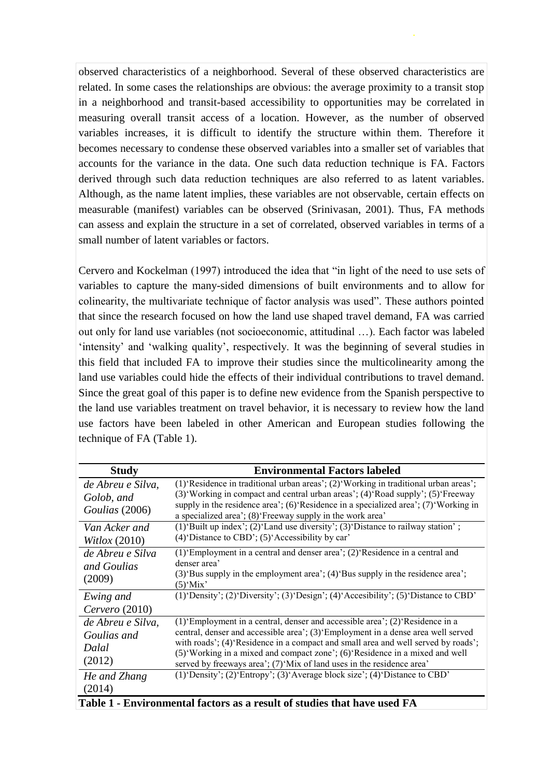observed characteristics of a neighborhood. Several of these observed characteristics are related. In some cases the relationships are obvious: the average proximity to a transit stop in a neighborhood and transit-based accessibility to opportunities may be correlated in measuring overall transit access of a location. However, as the number of observed variables increases, it is difficult to identify the structure within them. Therefore it becomes necessary to condense these observed variables into a smaller set of variables that accounts for the variance in the data. One such data reduction technique is FA. Factors derived through such data reduction techniques are also referred to as latent variables. Although, as the name latent implies, these variables are not observable, certain effects on measurable (manifest) variables can be observed (Srinivasan, 2001). Thus, FA methods can assess and explain the structure in a set of correlated, observed variables in terms of a small number of latent variables or factors.

Cervero and Kockelman (1997) introduced the idea that "in light of the need to use sets of variables to capture the many-sided dimensions of built environments and to allow for colinearity, the multivariate technique of factor analysis was used". These authors pointed that since the research focused on how the land use shaped travel demand, FA was carried out only for land use variables (not socioeconomic, attitudinal …). Each factor was labeled 'intensity' and 'walking quality', respectively. It was the beginning of several studies in this field that included FA to improve their studies since the multicolinearity among the land use variables could hide the effects of their individual contributions to travel demand. Since the great goal of this paper is to define new evidence from the Spanish perspective to the land use variables treatment on travel behavior, it is necessary to review how the land use factors have been labeled in other American and European studies following the technique of FA (Table 1).

| <b>Study</b>                                               | <b>Environmental Factors labeled</b>                                                                                                                                                                                                                                                                                                                                                                          |  |  |
|------------------------------------------------------------|---------------------------------------------------------------------------------------------------------------------------------------------------------------------------------------------------------------------------------------------------------------------------------------------------------------------------------------------------------------------------------------------------------------|--|--|
| de Abreu e Silva,<br>Golob, and<br>Goulias (2006)          | (1) Residence in traditional urban areas'; (2) Working in traditional urban areas';<br>(3) Working in compact and central urban areas'; (4) Road supply'; (5) Freeway<br>supply in the residence area'; (6)'Residence in a specialized area'; (7)'Working in<br>a specialized area'; (8) 'Freeway supply in the work area'                                                                                    |  |  |
| Van Acker and<br>Witlox $(2010)$                           | (1) 'Built up index'; (2) 'Land use diversity'; (3) 'Distance to railway station';<br>$(4)$ Distance to CBD'; $(5)$ Accessibility by car'                                                                                                                                                                                                                                                                     |  |  |
| de Abreu e Silva<br>and Goulias<br>(2009)                  | $(1)$ Employment in a central and denser area'; $(2)$ Residence in a central and<br>denser area'<br>$(3)$ Bus supply in the employment area'; $(4)$ Bus supply in the residence area';<br>$(5)$ 'Mix'                                                                                                                                                                                                         |  |  |
| Ewing and<br>$Cervero$ (2010)                              | (1) 'Density'; (2) 'Diversity'; (3) 'Design'; (4) 'Accesibility'; (5) 'Distance to CBD'                                                                                                                                                                                                                                                                                                                       |  |  |
| de Abreu e Silva,<br>Goulias and<br><b>Dalal</b><br>(2012) | (1) Employment in a central, denser and accessible area'; (2) Residence in a<br>central, denser and accessible area'; (3) Employment in a dense area well served<br>with roads'; (4)'Residence in a compact and small area and well served by roads';<br>(5) Working in a mixed and compact zone'; (6) Residence in a mixed and well<br>served by freeways area'; (7)'Mix of land uses in the residence area' |  |  |
| He and Zhang<br>(2014)                                     | (1) 'Density'; (2) 'Entropy'; (3) 'Average block size'; (4) 'Distance to CBD'                                                                                                                                                                                                                                                                                                                                 |  |  |

**Table 1 - Environmental factors as a result of studies that have used FA**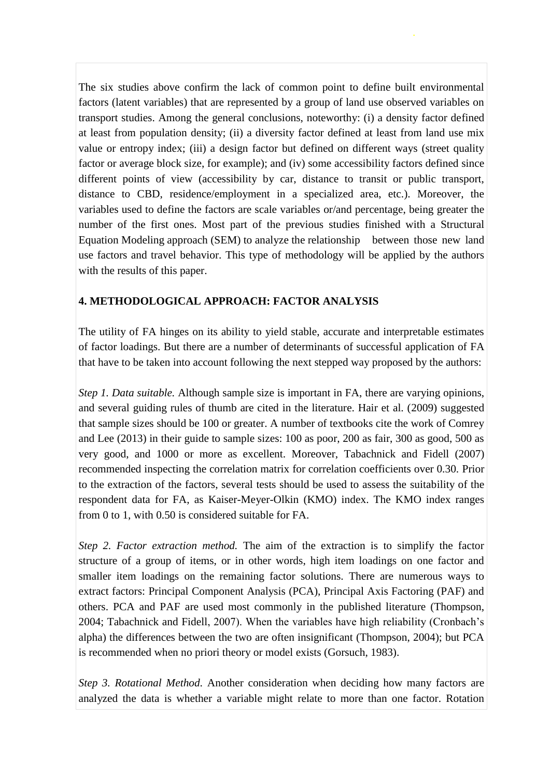The six studies above confirm the lack of common point to define built environmental factors (latent variables) that are represented by a group of land use observed variables on transport studies. Among the general conclusions, noteworthy: (i) a density factor defined at least from population density; (ii) a diversity factor defined at least from land use mix value or entropy index; (iii) a design factor but defined on different ways (street quality factor or average block size, for example); and (iv) some accessibility factors defined since different points of view (accessibility by car, distance to transit or public transport, distance to CBD, residence/employment in a specialized area, etc.). Moreover, the variables used to define the factors are scale variables or/and percentage, being greater the number of the first ones. Most part of the previous studies finished with a Structural Equation Modeling approach (SEM) to analyze the relationship between those new land use factors and travel behavior. This type of methodology will be applied by the authors with the results of this paper.

## **4. METHODOLOGICAL APPROACH: FACTOR ANALYSIS**

The utility of FA hinges on its ability to yield stable, accurate and interpretable estimates of factor loadings. But there are a number of determinants of successful application of FA that have to be taken into account following the next stepped way proposed by the authors:

*Step 1. Data suitable.* Although sample size is important in FA, there are varying opinions, and several guiding rules of thumb are cited in the literature. Hair et al. (2009) suggested that sample sizes should be 100 or greater. A number of textbooks cite the work of Comrey and Lee (2013) in their guide to sample sizes: 100 as poor, 200 as fair, 300 as good, 500 as very good, and 1000 or more as excellent. Moreover, Tabachnick and Fidell (2007) recommended inspecting the correlation matrix for correlation coefficients over 0.30. Prior to the extraction of the factors, several tests should be used to assess the suitability of the respondent data for FA, as Kaiser-Meyer-Olkin (KMO) index. The KMO index ranges from 0 to 1, with 0.50 is considered suitable for FA.

*Step 2. Factor extraction method.* The aim of the extraction is to simplify the factor structure of a group of items, or in other words, high item loadings on one factor and smaller item loadings on the remaining factor solutions. There are numerous ways to extract factors: Principal Component Analysis (PCA), Principal Axis Factoring (PAF) and others. PCA and PAF are used most commonly in the published literature (Thompson, 2004; Tabachnick and Fidell, 2007). When the variables have high reliability (Cronbach's alpha) the differences between the two are often insignificant (Thompson, 2004); but PCA is recommended when no priori theory or model exists (Gorsuch, 1983).

*Step 3. Rotational Method.* Another consideration when deciding how many factors are analyzed the data is whether a variable might relate to more than one factor. Rotation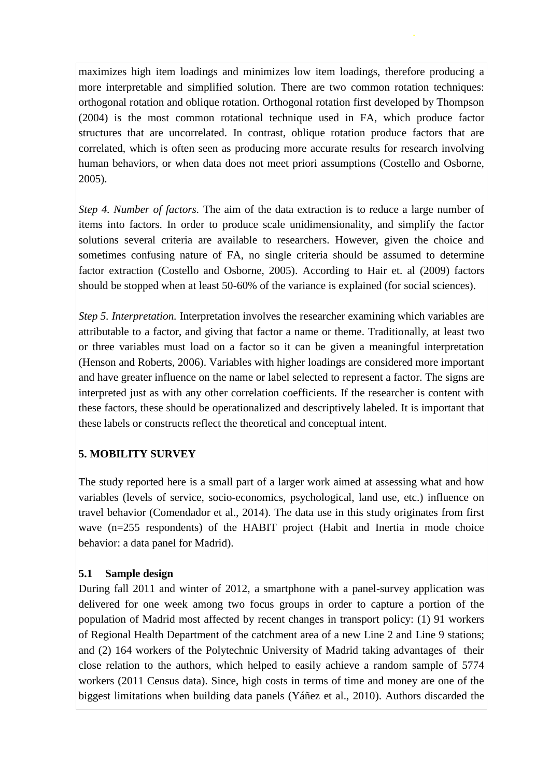maximizes high item loadings and minimizes low item loadings, therefore producing a more interpretable and simplified solution. There are two common rotation techniques: orthogonal rotation and oblique rotation. Orthogonal rotation first developed by Thompson (2004) is the most common rotational technique used in FA, which produce factor structures that are uncorrelated. In contrast, oblique rotation produce factors that are correlated, which is often seen as producing more accurate results for research involving human behaviors, or when data does not meet priori assumptions (Costello and Osborne, 2005).

*Step 4. Number of factors.* The aim of the data extraction is to reduce a large number of items into factors. In order to produce scale unidimensionality, and simplify the factor solutions several criteria are available to researchers. However, given the choice and sometimes confusing nature of FA, no single criteria should be assumed to determine factor extraction (Costello and Osborne, 2005). According to Hair et. al (2009) factors should be stopped when at least 50-60% of the variance is explained (for social sciences).

*Step 5. Interpretation.* Interpretation involves the researcher examining which variables are attributable to a factor, and giving that factor a name or theme. Traditionally, at least two or three variables must load on a factor so it can be given a meaningful interpretation (Henson and Roberts, 2006). Variables with higher loadings are considered more important and have greater influence on the name or label selected to represent a factor. The signs are interpreted just as with any other correlation coefficients. If the researcher is content with these factors, these should be operationalized and descriptively labeled. It is important that these labels or constructs reflect the theoretical and conceptual intent.

## **5. MOBILITY SURVEY**

The study reported here is a small part of a larger work aimed at assessing what and how variables (levels of service, socio-economics, psychological, land use, etc.) influence on travel behavior (Comendador et al., 2014). The data use in this study originates from first wave (n=255 respondents) of the HABIT project (Habit and Inertia in mode choice behavior: a data panel for Madrid).

#### **5.1 Sample design**

During fall 2011 and winter of 2012, a smartphone with a panel-survey application was delivered for one week among two focus groups in order to capture a portion of the population of Madrid most affected by recent changes in transport policy: (1) 91 workers of Regional Health Department of the catchment area of a new Line 2 and Line 9 stations; and (2) 164 workers of the Polytechnic University of Madrid taking advantages of their close relation to the authors, which helped to easily achieve a random sample of 5774 workers (2011 Census data). Since, high costs in terms of time and money are one of the biggest limitations when building data panels (Yáñez et al., 2010). Authors discarded the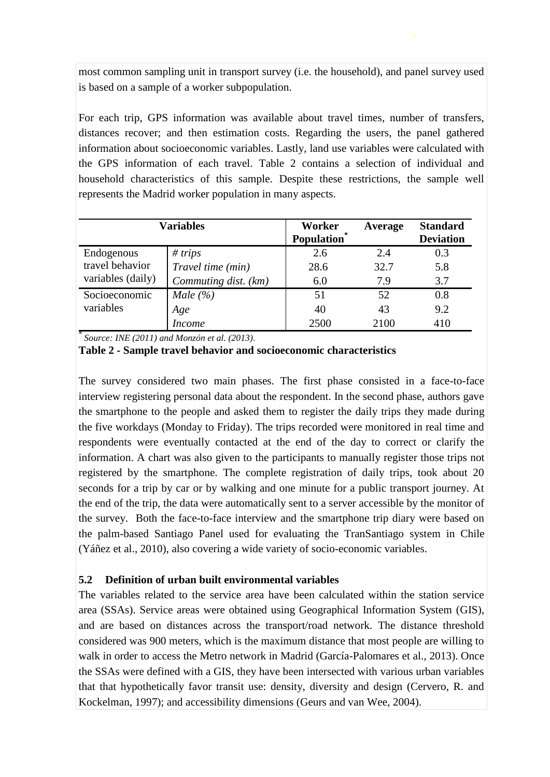most common sampling unit in transport survey (i.e. the household), and panel survey used is based on a sample of a worker subpopulation.

For each trip, GPS information was available about travel times, number of transfers, distances recover; and then estimation costs. Regarding the users, the panel gathered information about socioeconomic variables. Lastly, land use variables were calculated with the GPS information of each travel. Table 2 contains a selection of individual and household characteristics of this sample. Despite these restrictions, the sample well represents the Madrid worker population in many aspects.

| <b>Variables</b>                                   |                      | Worker<br>Population | Average | <b>Standard</b><br><b>Deviation</b> |
|----------------------------------------------------|----------------------|----------------------|---------|-------------------------------------|
| Endogenous<br>travel behavior<br>variables (daily) | # trips              | 2.6                  | 2.4     | 0.3                                 |
|                                                    | Travel time (min)    | 28.6                 | 32.7    | 5.8                                 |
|                                                    | Commuting dist. (km) | 6.0                  | 7.9     | 3.7                                 |
| Socioeconomic<br>variables                         | Male $(\% )$         | 51                   | 52      | 0.8                                 |
|                                                    | Age                  | 40                   | 43      | 9.2                                 |
|                                                    | <i>Income</i>        | 2500                 | 2100    | 410                                 |

\* *Source: INE (2011) and Monzón et al. (2013)*.

**Table 2 - Sample travel behavior and socioeconomic characteristics**

The survey considered two main phases. The first phase consisted in a face-to-face interview registering personal data about the respondent. In the second phase, authors gave the smartphone to the people and asked them to register the daily trips they made during the five workdays (Monday to Friday). The trips recorded were monitored in real time and respondents were eventually contacted at the end of the day to correct or clarify the information. A chart was also given to the participants to manually register those trips not registered by the smartphone. The complete registration of daily trips, took about 20 seconds for a trip by car or by walking and one minute for a public transport journey. At the end of the trip, the data were automatically sent to a server accessible by the monitor of the survey. Both the face-to-face interview and the smartphone trip diary were based on the palm-based Santiago Panel used for evaluating the TranSantiago system in Chile (Yáñez et al., 2010), also covering a wide variety of socio-economic variables.

## **5.2 Definition of urban built environmental variables**

The variables related to the service area have been calculated within the station service area (SSAs). Service areas were obtained using Geographical Information System (GIS), and are based on distances across the transport/road network. The distance threshold considered was 900 meters, which is the maximum distance that most people are willing to walk in order to access the Metro network in Madrid (García-Palomares et al., 2013). Once the SSAs were defined with a GIS, they have been intersected with various urban variables that that hypothetically favor transit use: density, diversity and design (Cervero, R. and Kockelman, 1997); and accessibility dimensions (Geurs and van Wee, 2004).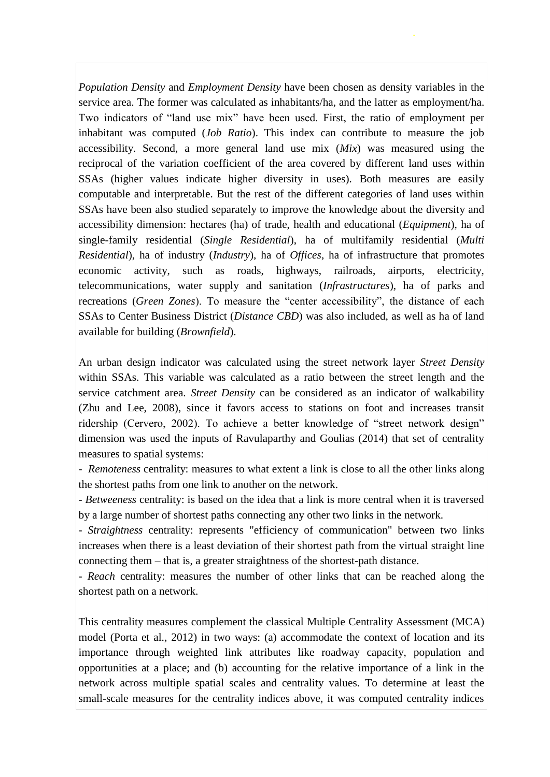*Population Density* and *Employment Density* have been chosen as density variables in the service area. The former was calculated as inhabitants/ha, and the latter as employment/ha. Two indicators of "land use mix" have been used. First, the ratio of employment per inhabitant was computed (*Job Ratio*). This index can contribute to measure the job accessibility. Second, a more general land use mix (*Mix*) was measured using the reciprocal of the variation coefficient of the area covered by different land uses within SSAs (higher values indicate higher diversity in uses). Both measures are easily computable and interpretable. But the rest of the different categories of land uses within SSAs have been also studied separately to improve the knowledge about the diversity and accessibility dimension: hectares (ha) of trade, health and educational (*Equipment*), ha of single-family residential (*Single Residential*), ha of multifamily residential (*Multi Residential*), ha of industry (*Industry*), ha of *Offices*, ha of infrastructure that promotes economic activity, such as roads, highways, railroads, airports, electricity, telecommunications, water supply and sanitation (*Infrastructures*), ha of parks and recreations (*Green Zones*). To measure the "center accessibility", the distance of each SSAs to Center Business District (*Distance CBD*) was also included, as well as ha of land available for building (*Brownfield*).

An urban design indicator was calculated using the street network layer *Street Density* within SSAs. This variable was calculated as a ratio between the street length and the service catchment area. *Street Density* can be considered as an indicator of walkability (Zhu and Lee, 2008), since it favors access to stations on foot and increases transit ridership (Cervero, 2002). To achieve a better knowledge of "street network design" dimension was used the inputs of Ravulaparthy and Goulias (2014) that set of centrality measures to spatial systems:

- *Remoteness* centrality: measures to what extent a link is close to all the other links along the shortest paths from one link to another on the network.

- *Betweeness* centrality: is based on the idea that a link is more central when it is traversed by a large number of shortest paths connecting any other two links in the network.

- *Straightness* centrality: represents "efficiency of communication" between two links increases when there is a least deviation of their shortest path from the virtual straight line connecting them – that is, a greater straightness of the shortest-path distance.

- *Reach* centrality: measures the number of other links that can be reached along the shortest path on a network.

This centrality measures complement the classical Multiple Centrality Assessment (MCA) model (Porta et al., 2012) in two ways: (a) accommodate the context of location and its importance through weighted link attributes like roadway capacity, population and opportunities at a place; and (b) accounting for the relative importance of a link in the network across multiple spatial scales and centrality values. To determine at least the small-scale measures for the centrality indices above, it was computed centrality indices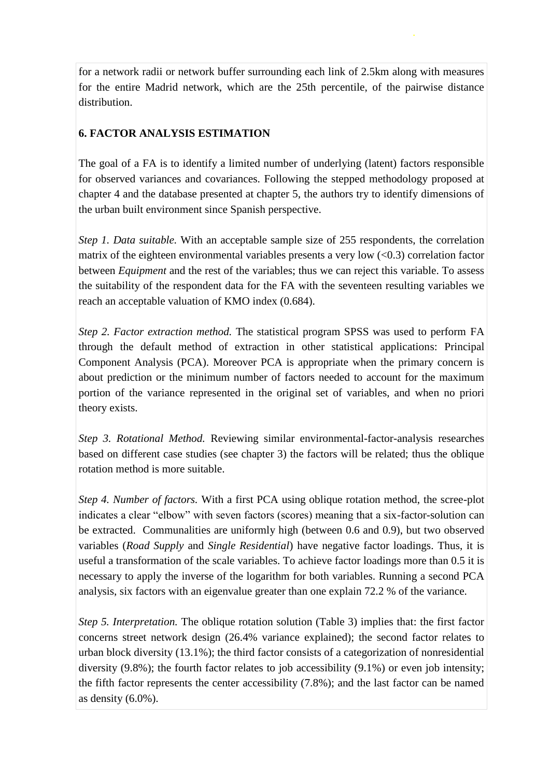for a network radii or network buffer surrounding each link of 2.5km along with measures for the entire Madrid network, which are the 25th percentile, of the pairwise distance distribution.

# **6. FACTOR ANALYSIS ESTIMATION**

The goal of a FA is to identify a limited number of underlying (latent) factors responsible for observed variances and covariances. Following the stepped methodology proposed at chapter 4 and the database presented at chapter 5, the authors try to identify dimensions of the urban built environment since Spanish perspective.

*Step 1. Data suitable.* With an acceptable sample size of 255 respondents, the correlation matrix of the eighteen environmental variables presents a very low  $(<0.3$ ) correlation factor between *Equipment* and the rest of the variables; thus we can reject this variable. To assess the suitability of the respondent data for the FA with the seventeen resulting variables we reach an acceptable valuation of KMO index (0.684).

*Step 2. Factor extraction method.* The statistical program SPSS was used to perform FA through the default method of extraction in other statistical applications: Principal Component Analysis (PCA). Moreover PCA is appropriate when the primary concern is about prediction or the minimum number of factors needed to account for the maximum portion of the variance represented in the original set of variables, and when no priori theory exists.

*Step 3. Rotational Method.* Reviewing similar environmental-factor-analysis researches based on different case studies (see chapter 3) the factors will be related; thus the oblique rotation method is more suitable.

*Step 4. Number of factors.* With a first PCA using oblique rotation method, the scree-plot indicates a clear "elbow" with seven factors (scores) meaning that a six-factor-solution can be extracted. Communalities are uniformly high (between 0.6 and 0.9), but two observed variables (*Road Supply* and *Single Residential*) have negative factor loadings. Thus, it is useful a transformation of the scale variables. To achieve factor loadings more than 0.5 it is necessary to apply the inverse of the logarithm for both variables. Running a second PCA analysis, six factors with an eigenvalue greater than one explain 72.2 % of the variance.

*Step 5. Interpretation.* The oblique rotation solution (Table 3) implies that: the first factor concerns street network design (26.4% variance explained); the second factor relates to urban block diversity (13.1%); the third factor consists of a categorization of nonresidential diversity (9.8%); the fourth factor relates to job accessibility (9.1%) or even job intensity; the fifth factor represents the center accessibility (7.8%); and the last factor can be named as density  $(6.0\%)$ .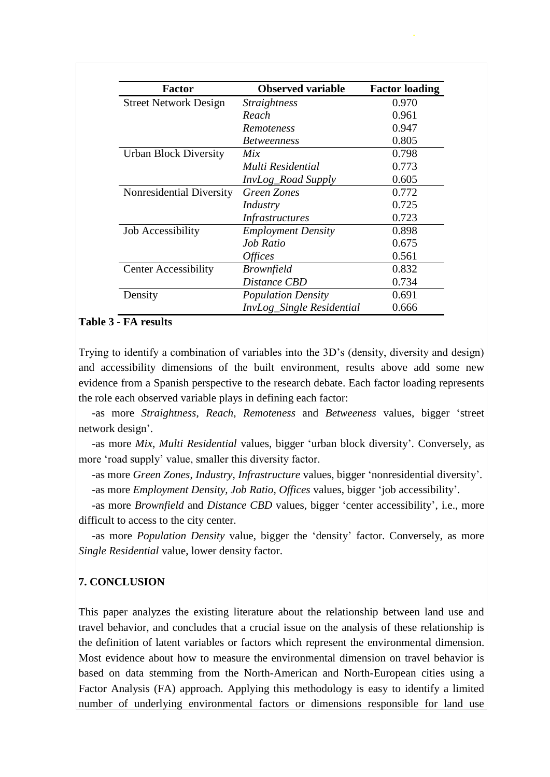| <b>Factor</b>                | <b>Observed variable</b>  | <b>Factor loading</b> |
|------------------------------|---------------------------|-----------------------|
| <b>Street Network Design</b> | <i>Straightness</i>       | 0.970                 |
|                              | Reach                     | 0.961                 |
|                              | <i>Remoteness</i>         | 0.947                 |
|                              | <i>Betweenness</i>        | 0.805                 |
| <b>Urban Block Diversity</b> | Mix                       | 0.798                 |
|                              | Multi Residential         | 0.773                 |
|                              | <i>InvLog_Road Supply</i> | 0.605                 |
| Nonresidential Diversity     | Green Zones               | 0.772                 |
|                              | Industry                  | 0.725                 |
|                              | <b>Infrastructures</b>    | 0.723                 |
| <b>Job Accessibility</b>     | <b>Employment Density</b> | 0.898                 |
|                              | Job Ratio                 | 0.675                 |
|                              | <i><b>Offices</b></i>     | 0.561                 |
| <b>Center Accessibility</b>  | <i>Brownfield</i>         | 0.832                 |
|                              | Distance CBD              | 0.734                 |
| Density                      | <b>Population Density</b> | 0.691                 |
|                              | InvLog_Single Residential | 0.666                 |

#### **Table 3 - FA results**

Trying to identify a combination of variables into the 3D's (density, diversity and design) and accessibility dimensions of the built environment, results above add some new evidence from a Spanish perspective to the research debate. Each factor loading represents the role each observed variable plays in defining each factor:

-as more *Straightness*, *Reach*, *Remoteness* and *Betweeness* values, bigger 'street network design'.

-as more *Mix*, *Multi Residential* values, bigger 'urban block diversity'. Conversely, as more 'road supply' value, smaller this diversity factor.

-as more *Green Zones*, *Industry*, *Infrastructure* values, bigger 'nonresidential diversity'.

-as more *Employment Density, Job Ratio, Offices* values, bigger 'job accessibility'.

-as more *Brownfield* and *Distance CBD* values, bigger 'center accessibility', i.e., more difficult to access to the city center.

-as more *Population Density* value, bigger the 'density' factor. Conversely, as more *Single Residential* value, lower density factor.

## **7. CONCLUSION**

This paper analyzes the existing literature about the relationship between land use and travel behavior, and concludes that a crucial issue on the analysis of these relationship is the definition of latent variables or factors which represent the environmental dimension. Most evidence about how to measure the environmental dimension on travel behavior is based on data stemming from the North-American and North-European cities using a Factor Analysis (FA) approach. Applying this methodology is easy to identify a limited number of underlying environmental factors or dimensions responsible for land use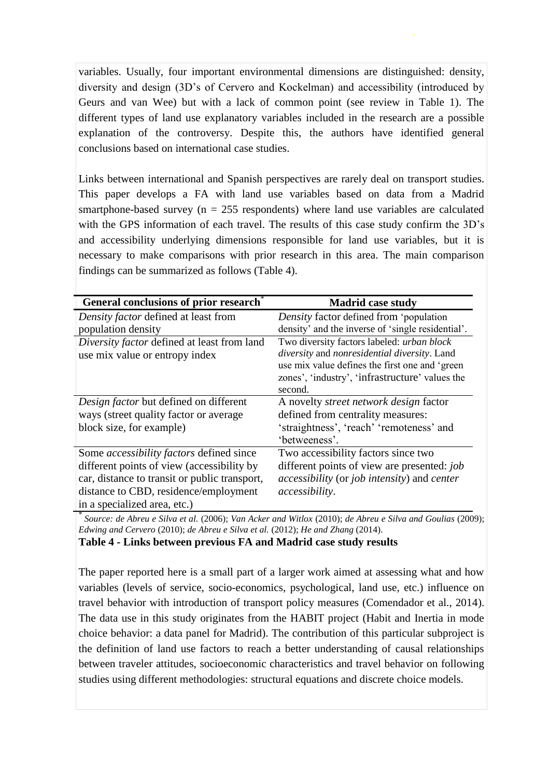variables. Usually, four important environmental dimensions are distinguished: density, diversity and design (3D's of Cervero and Kockelman) and accessibility (introduced by Geurs and van Wee) but with a lack of common point (see review in Table 1). The different types of land use explanatory variables included in the research are a possible explanation of the controversy. Despite this, the authors have identified general conclusions based on international case studies.

Links between international and Spanish perspectives are rarely deal on transport studies. This paper develops a FA with land use variables based on data from a Madrid smartphone-based survey ( $n = 255$  respondents) where land use variables are calculated with the GPS information of each travel. The results of this case study confirm the 3D's and accessibility underlying dimensions responsible for land use variables, but it is necessary to make comparisons with prior research in this area. The main comparison findings can be summarized as follows (Table 4).

| General conclusions of prior research           | <b>Madrid case study</b>                          |
|-------------------------------------------------|---------------------------------------------------|
| Density factor defined at least from            | Density factor defined from 'population           |
| population density                              | density' and the inverse of 'single residential'. |
| Diversity factor defined at least from land     | Two diversity factors labeled: urban block        |
| use mix value or entropy index                  | diversity and nonresidential diversity. Land      |
|                                                 | use mix value defines the first one and 'green    |
|                                                 | zones', 'industry', 'infrastructure' values the   |
|                                                 | second.                                           |
| Design factor but defined on different          | A novelty <i>street network design</i> factor     |
| ways (street quality factor or average)         | defined from centrality measures:                 |
| block size, for example)                        | 'straightness', 'reach' 'remoteness' and          |
|                                                 | 'betweeness'.                                     |
| Some <i>accessibility factors</i> defined since | Two accessibility factors since two               |
| different points of view (accessibility by      | different points of view are presented: job       |
| car, distance to transit or public transport,   | accessibility (or job intensity) and center       |
| distance to CBD, residence/employment           | accessibility.                                    |
| in a specialized area, etc.)                    |                                                   |

\* *Source: de Abreu e Silva et al.* (2006); *Van Acker and Witlox* (2010); *de Abreu e Silva and Goulias* (2009); *Edwing and Cervero* (2010); *de Abreu e Silva et al.* (2012); *He and Zhang* (2014).

**Table 4 - Links between previous FA and Madrid case study results**

The paper reported here is a small part of a larger work aimed at assessing what and how variables (levels of service, socio-economics, psychological, land use, etc.) influence on travel behavior with introduction of transport policy measures (Comendador et al., 2014). The data use in this study originates from the HABIT project (Habit and Inertia in mode choice behavior: a data panel for Madrid). The contribution of this particular subproject is the definition of land use factors to reach a better understanding of causal relationships between traveler attitudes, socioeconomic characteristics and travel behavior on following studies using different methodologies: structural equations and discrete choice models.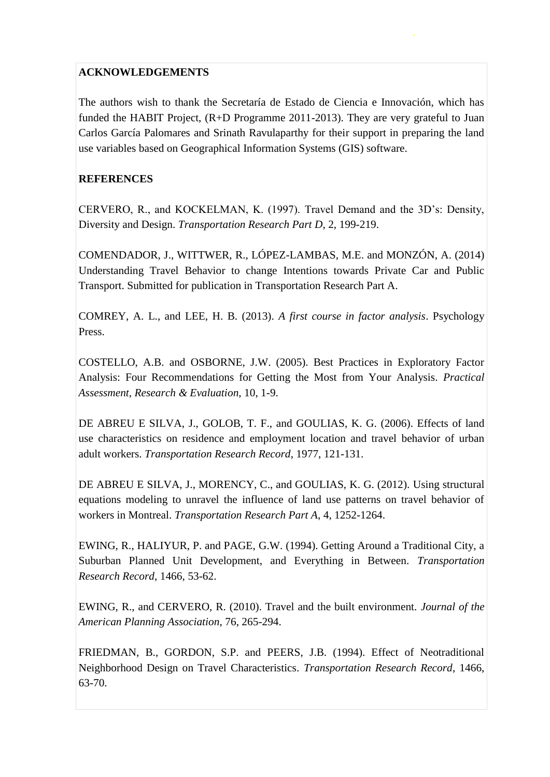## **ACKNOWLEDGEMENTS**

The authors wish to thank the Secretaría de Estado de Ciencia e Innovación, which has funded the HABIT Project, (R+D Programme 2011-2013). They are very grateful to Juan Carlos García Palomares and Srinath Ravulaparthy for their support in preparing the land use variables based on Geographical Information Systems (GIS) software.

# **REFERENCES**

CERVERO, R., and KOCKELMAN, K. (1997). Travel Demand and the 3D's: Density, Diversity and Design. *Transportation Research Part D*, 2, 199-219.

COMENDADOR, J., WITTWER, R., LÓPEZ-LAMBAS, M.E. and MONZÓN, A. (2014) Understanding Travel Behavior to change Intentions towards Private Car and Public Transport. Submitted for publication in Transportation Research Part A.

COMREY, A. L., and LEE, H. B. (2013). *A first course in factor analysis*. Psychology Press.

COSTELLO, A.B. and OSBORNE, J.W. (2005). Best Practices in Exploratory Factor Analysis: Four Recommendations for Getting the Most from Your Analysis. *Practical Assessment, Research & Evaluation*, 10, 1-9.

DE ABREU E SILVA, J., GOLOB, T. F., and GOULIAS, K. G. (2006). Effects of land use characteristics on residence and employment location and travel behavior of urban adult workers. *Transportation Research Record*, 1977, 121-131.

DE ABREU E SILVA, J., MORENCY, C., and GOULIAS, K. G. (2012). Using structural equations modeling to unravel the influence of land use patterns on travel behavior of workers in Montreal. *Transportation Research Part A*, 4, 1252-1264.

EWING, R., HALIYUR, P. and PAGE, G.W. (1994). Getting Around a Traditional City, a Suburban Planned Unit Development, and Everything in Between. *Transportation Research Record*, 1466, 53-62.

EWING, R., and CERVERO, R. (2010). Travel and the built environment. *Journal of the American Planning Association*, 76, 265-294.

FRIEDMAN, B., GORDON, S.P. and PEERS, J.B. (1994). Effect of Neotraditional Neighborhood Design on Travel Characteristics. *Transportation Research Record*, 1466, 63-70.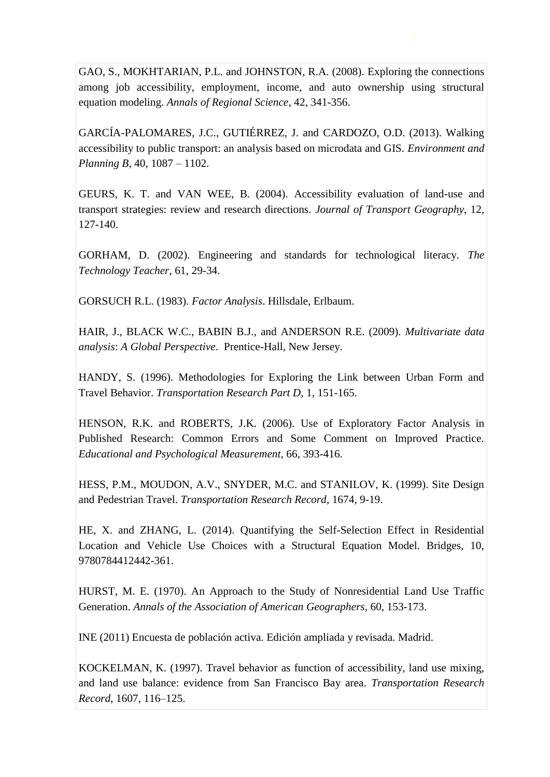GAO, S., MOKHTARIAN, P.L. and JOHNSTON, R.A. (2008). Exploring the connections among job accessibility, employment, income, and auto ownership using structural equation modeling. *Annals of Regional Science*, 42, 341-356.

GARCÍA-PALOMARES, J.C., GUTIÉRREZ, J. and CARDOZO, O.D. (2013). Walking accessibility to public transport: an analysis based on microdata and GIS. *Environment and Planning B*, 40, 1087 – 1102.

GEURS, K. T. and VAN WEE, B. (2004). Accessibility evaluation of land-use and transport strategies: review and research directions. *Journal of Transport Geography*, 12, 127-140.

GORHAM, D. (2002). Engineering and standards for technological literacy. *The Technology Teacher*, 61, 29-34.

GORSUCH R.L. (1983). *Factor Analysis*. Hillsdale, Erlbaum.

HAIR, J., BLACK W.C., BABIN B.J., and ANDERSON R.E. (2009). *Multivariate data analysis*: *A Global Perspective*. Prentice-Hall, New Jersey.

HANDY, S. (1996). Methodologies for Exploring the Link between Urban Form and Travel Behavior. *Transportation Research Part D*, 1, 151-165.

HENSON, R.K. and ROBERTS, J.K. (2006). Use of Exploratory Factor Analysis in Published Research: Common Errors and Some Comment on Improved Practice. *Educational and Psychological Measurement*, 66, 393-416.

HESS, P.M., MOUDON, A.V., SNYDER, M.C. and STANILOV, K. (1999). Site Design and Pedestrian Travel. *Transportation Research Record*, 1674, 9-19.

HE, X. and ZHANG, L. (2014). Quantifying the Self-Selection Effect in Residential Location and Vehicle Use Choices with a Structural Equation Model. Bridges, 10, 9780784412442-361.

HURST, M. E. (1970). An Approach to the Study of Nonresidential Land Use Traffic Generation. *Annals of the Association of American Geographers*, 60, 153-173.

INE (2011) Encuesta de población activa. Edición ampliada y revisada. Madrid.

KOCKELMAN, K. (1997). Travel behavior as function of accessibility, land use mixing, and land use balance: evidence from San Francisco Bay area. *Transportation Research Record*, 1607, 116–125.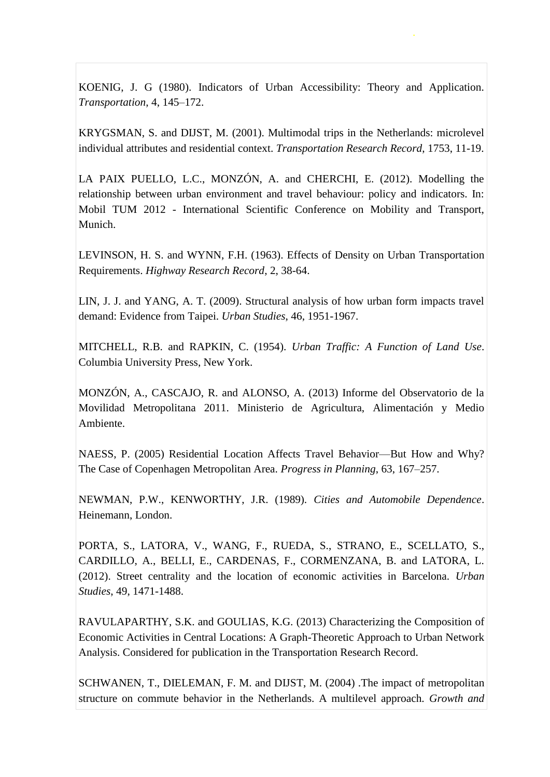KOENIG, J. G (1980). Indicators of Urban Accessibility: Theory and Application. *Transportation*, 4, 145–172.

KRYGSMAN, S. and DIJST, M. (2001). Multimodal trips in the Netherlands: microlevel individual attributes and residential context. *Transportation Research Record*, 1753, 11-19.

LA PAIX PUELLO, L.C., MONZÓN, A. and CHERCHI, E. (2012). Modelling the relationship between urban environment and travel behaviour: policy and indicators. In: Mobil TUM 2012 - International Scientific Conference on Mobility and Transport, Munich.

LEVINSON, H. S. and WYNN, F.H. (1963). Effects of Density on Urban Transportation Requirements. *Highway Research Record*, 2, 38-64.

LIN, J. J. and YANG, A. T. (2009). Structural analysis of how urban form impacts travel demand: Evidence from Taipei. *Urban Studies*, 46, 1951-1967.

MITCHELL, R.B. and RAPKIN, C. (1954). *Urban Traffic: A Function of Land Use*. Columbia University Press, New York.

MONZÓN, A., CASCAJO, R. and ALONSO, A. (2013) Informe del Observatorio de la Movilidad Metropolitana 2011. Ministerio de Agricultura, Alimentación y Medio Ambiente.

NAESS, P. (2005) Residential Location Affects Travel Behavior—But How and Why? The Case of Copenhagen Metropolitan Area. *Progress in Planning*, 63, 167–257.

NEWMAN, P.W., KENWORTHY, J.R. (1989). *Cities and Automobile Dependence*. Heinemann, London.

PORTA, S., LATORA, V., WANG, F., RUEDA, S., STRANO, E., SCELLATO, S., CARDILLO, A., BELLI, E., CARDENAS, F., CORMENZANA, B. and LATORA, L. (2012). Street centrality and the location of economic activities in Barcelona. *Urban Studies*, 49, 1471-1488.

RAVULAPARTHY, S.K. and GOULIAS, K.G. (2013) Characterizing the Composition of Economic Activities in Central Locations: A Graph-Theoretic Approach to Urban Network Analysis. Considered for publication in the Transportation Research Record.

SCHWANEN, T., DIELEMAN, F. M. and DIJST, M. (2004) .The impact of metropolitan structure on commute behavior in the Netherlands. A multilevel approach. *Growth and*